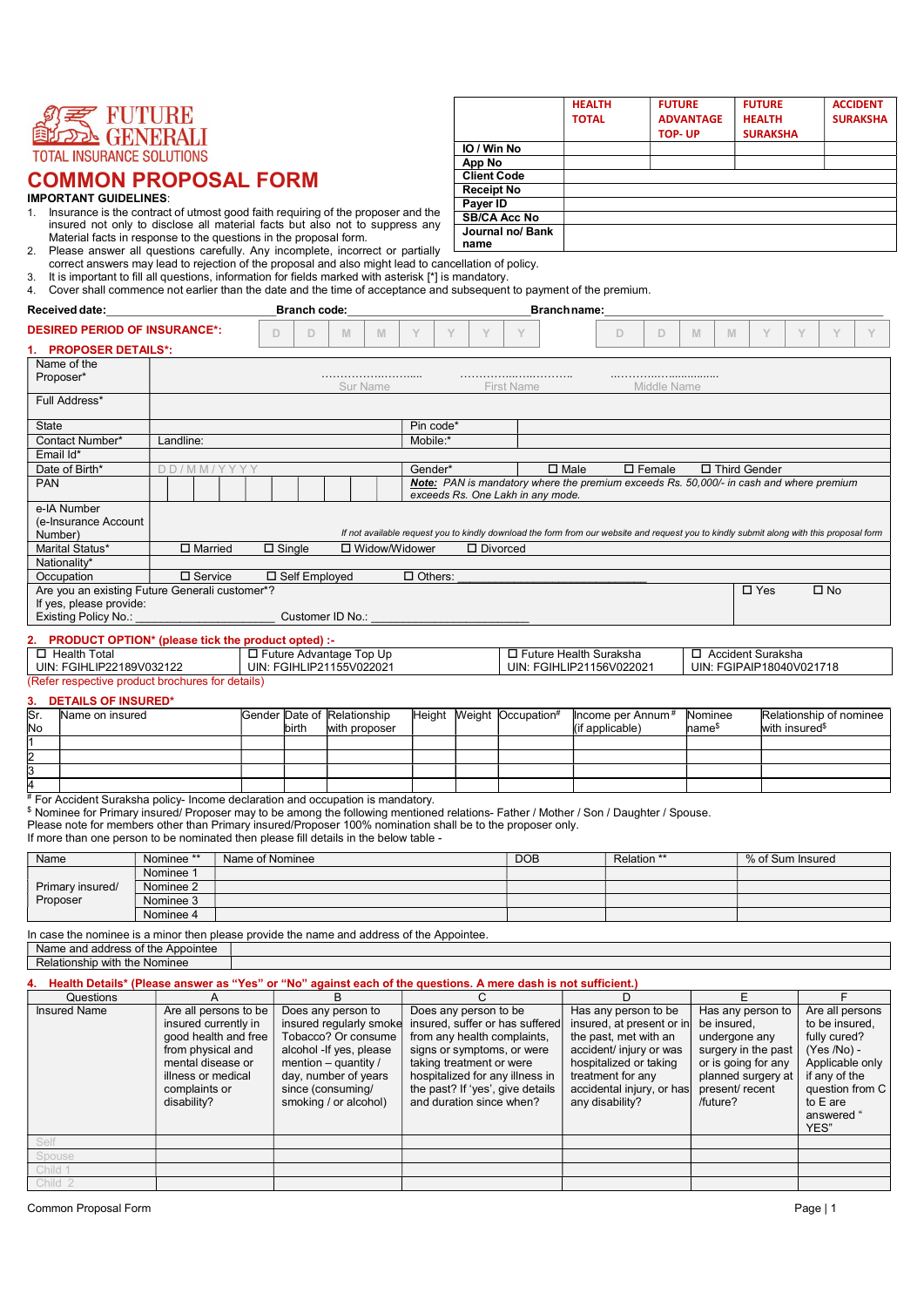

- IMPORTANT GUIDELINES:<br>1. Insurance is the contract of utmost good faith requiring of the proposer and the **Payer ID** insured not only to disclose all material facts but also not to suppress any  $\frac{1}{2}$  low  $\frac{1}{2}$  Pank Material facts in response to the questions in the proposal form.
- 2. Please answer all questions carefully. Any incomplete, incorrect or partially **interlease and the example of** correct answers may lead to rejection of the proposal and also might lead to cancellation of policy.
- 3. It is important to fill all questions, information for fields marked with asterisk [\*] is mandatory.

| 2.<br>3.                                                                      | $\frac{1}{2}$ in surface that $\frac{1}{2}$ and $\frac{1}{2}$ are $\frac{1}{2}$ and $\frac{1}{2}$ and $\frac{1}{2}$ and $\frac{1}{2}$ are $\frac{1}{2}$ and $\frac{1}{2}$ are $\frac{1}{2}$ and $\frac{1}{2}$ are $\frac{1}{2}$ and $\frac{1}{2}$ are $\frac{1}{2}$ and $\frac{1}{2}$ are<br>Material facts in response to the questions in the proposal form.<br>Please answer all questions carefully. Any incomplete, incorrect or partially<br>correct answers may lead to rejection of the proposal and also might lead to cancellation of policy.<br>It is important to fill all questions, information for fields marked with asterisk [*] is mandatory. |                 |                     |                                                                               |                | name                  | Journal no/ Bank                                                                                                                         |                                                   |   |                                                 |                |                                              |                |                 |
|-------------------------------------------------------------------------------|-----------------------------------------------------------------------------------------------------------------------------------------------------------------------------------------------------------------------------------------------------------------------------------------------------------------------------------------------------------------------------------------------------------------------------------------------------------------------------------------------------------------------------------------------------------------------------------------------------------------------------------------------------------------|-----------------|---------------------|-------------------------------------------------------------------------------|----------------|-----------------------|------------------------------------------------------------------------------------------------------------------------------------------|---------------------------------------------------|---|-------------------------------------------------|----------------|----------------------------------------------|----------------|-----------------|
| 4.<br>Received date:                                                          | Cover shall commence not earlier than the date and the time of acceptance and subsequent to payment of the premium.                                                                                                                                                                                                                                                                                                                                                                                                                                                                                                                                             |                 | <b>Branch code:</b> |                                                                               |                |                       | <b>Branchname:</b>                                                                                                                       |                                                   |   |                                                 |                |                                              |                |                 |
| <b>DESIRED PERIOD OF INSURANCE*:</b>                                          |                                                                                                                                                                                                                                                                                                                                                                                                                                                                                                                                                                                                                                                                 | D               | D                   | M<br>M                                                                        |                |                       |                                                                                                                                          | D                                                 | D | $\mathbb N$                                     | M              | Y                                            |                |                 |
| <b>PROPOSER DETAILS*:</b>                                                     |                                                                                                                                                                                                                                                                                                                                                                                                                                                                                                                                                                                                                                                                 |                 |                     |                                                                               |                |                       |                                                                                                                                          |                                                   |   |                                                 |                |                                              |                |                 |
| Name of the<br>Proposer*                                                      |                                                                                                                                                                                                                                                                                                                                                                                                                                                                                                                                                                                                                                                                 |                 |                     |                                                                               |                |                       |                                                                                                                                          |                                                   |   |                                                 |                |                                              |                |                 |
|                                                                               |                                                                                                                                                                                                                                                                                                                                                                                                                                                                                                                                                                                                                                                                 |                 |                     | Sur Name                                                                      |                |                       | <b>First Name</b>                                                                                                                        | Middle Name                                       |   |                                                 |                |                                              |                |                 |
| Full Address*                                                                 |                                                                                                                                                                                                                                                                                                                                                                                                                                                                                                                                                                                                                                                                 |                 |                     |                                                                               |                |                       |                                                                                                                                          |                                                   |   |                                                 |                |                                              |                |                 |
| <b>State</b>                                                                  |                                                                                                                                                                                                                                                                                                                                                                                                                                                                                                                                                                                                                                                                 |                 |                     |                                                                               | Pin code*      |                       |                                                                                                                                          |                                                   |   |                                                 |                |                                              |                |                 |
| Contact Number*                                                               | Landline:                                                                                                                                                                                                                                                                                                                                                                                                                                                                                                                                                                                                                                                       |                 |                     |                                                                               | Mobile:'       |                       |                                                                                                                                          |                                                   |   |                                                 |                |                                              |                |                 |
| Email Id*<br>Date of Birth*                                                   | DD/MM/YYYY                                                                                                                                                                                                                                                                                                                                                                                                                                                                                                                                                                                                                                                      |                 |                     |                                                                               | Gender*        |                       | $\Box$ Male                                                                                                                              | $\Box$ Female                                     |   |                                                 | □ Third Gender |                                              |                |                 |
| <b>PAN</b>                                                                    |                                                                                                                                                                                                                                                                                                                                                                                                                                                                                                                                                                                                                                                                 |                 |                     |                                                                               |                |                       | Note: PAN is mandatory where the premium exceeds Rs. 50,000/- in cash and where premium<br>exceeds Rs. One Lakh in any mode.             |                                                   |   |                                                 |                |                                              |                |                 |
| e-IA Number<br>(e-Insurance Account<br>Number)                                |                                                                                                                                                                                                                                                                                                                                                                                                                                                                                                                                                                                                                                                                 |                 |                     |                                                                               |                |                       | If not available request you to kindly download the form from our website and request you to kindly submit along with this proposal form |                                                   |   |                                                 |                |                                              |                |                 |
| Marital Status*                                                               | $\square$ Married                                                                                                                                                                                                                                                                                                                                                                                                                                                                                                                                                                                                                                               |                 | $\Box$ Single       | □ Widow/Widower                                                               |                |                       | $\square$ Divorced                                                                                                                       |                                                   |   |                                                 |                |                                              |                |                 |
| Nationality*<br>Occupation                                                    | $\square$ Service                                                                                                                                                                                                                                                                                                                                                                                                                                                                                                                                                                                                                                               |                 | □ Self Employed     |                                                                               | $\Box$ Others: |                       |                                                                                                                                          |                                                   |   |                                                 |                |                                              |                |                 |
| If yes, please provide:<br><b>Existing Policy No.:</b>                        | Are you an existing Future Generali customer*?                                                                                                                                                                                                                                                                                                                                                                                                                                                                                                                                                                                                                  |                 |                     | Customer ID No.:                                                              |                |                       |                                                                                                                                          |                                                   |   |                                                 | $\square$ Yes  |                                              | $\square$ No   |                 |
| $\Box$ Health Total<br>UIN: FGIHLIP22189V032122<br><b>DETAILS OF INSURED*</b> | <b>PRODUCT OPTION*</b> (please tick the product opted) :-<br>(Refer respective product brochures for details)                                                                                                                                                                                                                                                                                                                                                                                                                                                                                                                                                   |                 |                     | □ Future Advantage Top Up<br>UIN: FGIHLIP21155V022021                         |                |                       | □ Future Health Suraksha<br>UIN: FGIHLIP21156V022021                                                                                     |                                                   |   | □ Accident Suraksha<br>UIN: FGIPAIP18040V021718 |                |                                              |                |                 |
| Sr.<br>Name on insured<br>No                                                  |                                                                                                                                                                                                                                                                                                                                                                                                                                                                                                                                                                                                                                                                 |                 | birth               | Gender Date of Relationship<br>with proposer                                  |                |                       | Height Meight Occupation#                                                                                                                | Income per Annum <sup>#</sup><br>(if applicable)  |   | Nominee<br>hame <sup>\$</sup>                   |                | Relationship of nominee<br>with insured $\$$ |                |                 |
| l1                                                                            |                                                                                                                                                                                                                                                                                                                                                                                                                                                                                                                                                                                                                                                                 |                 |                     |                                                                               |                |                       |                                                                                                                                          |                                                   |   |                                                 |                |                                              |                |                 |
| $\frac{2}{3}$                                                                 |                                                                                                                                                                                                                                                                                                                                                                                                                                                                                                                                                                                                                                                                 |                 |                     |                                                                               |                |                       |                                                                                                                                          |                                                   |   |                                                 |                |                                              |                |                 |
| 4                                                                             |                                                                                                                                                                                                                                                                                                                                                                                                                                                                                                                                                                                                                                                                 |                 |                     |                                                                               |                |                       |                                                                                                                                          |                                                   |   |                                                 |                |                                              |                |                 |
|                                                                               | # For Accident Suraksha policy- Income declaration and occupation is mandatory.<br>\$ Nominee for Primary insured/ Proposer may to be among the following mentioned relations- Father / Mother / Son / Daughter / Spouse.<br>Please note for members other than Primary insured/Proposer 100% nomination shall be to the proposer only.<br>If more than one person to be nominated then please fill details in the below table -                                                                                                                                                                                                                                |                 |                     |                                                                               |                |                       |                                                                                                                                          |                                                   |   |                                                 |                |                                              |                |                 |
| Name                                                                          | Nominee *                                                                                                                                                                                                                                                                                                                                                                                                                                                                                                                                                                                                                                                       | Name of Nominee |                     |                                                                               |                |                       | <b>DOB</b>                                                                                                                               | Relation **                                       |   |                                                 |                | % of Sum Insured                             |                |                 |
| Primary insured/                                                              | Nominee 1<br>Nominee 2                                                                                                                                                                                                                                                                                                                                                                                                                                                                                                                                                                                                                                          |                 |                     |                                                                               |                |                       |                                                                                                                                          |                                                   |   |                                                 |                |                                              |                |                 |
| Proposer                                                                      | Nominee 3                                                                                                                                                                                                                                                                                                                                                                                                                                                                                                                                                                                                                                                       |                 |                     |                                                                               |                |                       |                                                                                                                                          |                                                   |   |                                                 |                |                                              |                |                 |
|                                                                               | Nominee 4                                                                                                                                                                                                                                                                                                                                                                                                                                                                                                                                                                                                                                                       |                 |                     |                                                                               |                |                       |                                                                                                                                          |                                                   |   |                                                 |                |                                              |                |                 |
|                                                                               | In case the nominee is a minor then please provide the name and address of the Appointee.<br>Name and address of the Appointee                                                                                                                                                                                                                                                                                                                                                                                                                                                                                                                                  |                 |                     |                                                                               |                |                       |                                                                                                                                          |                                                   |   |                                                 |                |                                              |                |                 |
| Relationship with the Nominee                                                 |                                                                                                                                                                                                                                                                                                                                                                                                                                                                                                                                                                                                                                                                 |                 |                     |                                                                               |                |                       |                                                                                                                                          |                                                   |   |                                                 |                |                                              |                |                 |
|                                                                               | Health Details* (Please answer as "Yes" or "No" against each of the questions. A mere dash is not sufficient.)                                                                                                                                                                                                                                                                                                                                                                                                                                                                                                                                                  |                 |                     |                                                                               |                |                       |                                                                                                                                          |                                                   |   |                                                 |                |                                              |                |                 |
| Questions                                                                     | A                                                                                                                                                                                                                                                                                                                                                                                                                                                                                                                                                                                                                                                               |                 |                     | B                                                                             |                | C                     |                                                                                                                                          | D.                                                |   |                                                 |                |                                              |                |                 |
| <b>Insured Name</b>                                                           | Are all persons to be<br>insured currently in                                                                                                                                                                                                                                                                                                                                                                                                                                                                                                                                                                                                                   |                 |                     | Does any person to<br>insured regularly smoke insured, suffer or has suffered |                | Does any person to be |                                                                                                                                          | Has any person to be<br>insured, at present or in |   | Has any person to<br>be insured.                |                |                                              | to be insured. | Are all persons |

| <b>Insured Name</b> | Are all persons to be | Does any person to       | Does any person to be            | Has any person to be      | Has any person to   | Are all persons |  |
|---------------------|-----------------------|--------------------------|----------------------------------|---------------------------|---------------------|-----------------|--|
|                     | insured currently in  | insured regularly smoke  | insured, suffer or has suffered  | insured, at present or in | be insured,         | to be insured.  |  |
|                     | good health and free  | Tobacco? Or consume      | from any health complaints,      | the past, met with an     | undergone any       | fully cured?    |  |
|                     | from physical and     | alcohol - If yes, please | signs or symptoms, or were       | accident/ injury or was   | surgery in the past | $(Yes / No) -$  |  |
|                     | mental disease or     | mention – quantity /     | taking treatment or were         | hospitalized or taking    | or is going for any | Applicable only |  |
|                     | illness or medical    | day, number of years     | hospitalized for any illness in  | treatment for any         | planned surgery at  | if any of the   |  |
|                     | complaints or         | since (consuming/        | the past? If 'yes', give details | accidental injury, or has | present/recent      | question from C |  |
|                     | disability?           | smoking / or alcohol)    | and duration since when?         | any disability?           | /future?            | to E are        |  |
|                     |                       |                          |                                  |                           |                     | answered "      |  |
|                     |                       |                          |                                  |                           |                     | YES"            |  |
| Self                |                       |                          |                                  |                           |                     |                 |  |
| Spouse              |                       |                          |                                  |                           |                     |                 |  |
| Child 1             |                       |                          |                                  |                           |                     |                 |  |
| Child 2             |                       |                          |                                  |                           |                     |                 |  |

|                     | <b>HEALTH</b> | <b>FUTURE</b>    | <b>FUTURE</b>   | <b>ACCIDENT</b> |
|---------------------|---------------|------------------|-----------------|-----------------|
|                     | <b>TOTAL</b>  | <b>ADVANTAGE</b> | <b>HEALTH</b>   | <b>SURAKSHA</b> |
|                     |               | TOP-UP           | <b>SURAKSHA</b> |                 |
| IO / Win No         |               |                  |                 |                 |
| App No              |               |                  |                 |                 |
| <b>Client Code</b>  |               |                  |                 |                 |
| <b>Receipt No</b>   |               |                  |                 |                 |
| Payer ID            |               |                  |                 |                 |
| <b>SB/CA Acc No</b> |               |                  |                 |                 |
| Journal no/ Rank    |               |                  |                 |                 |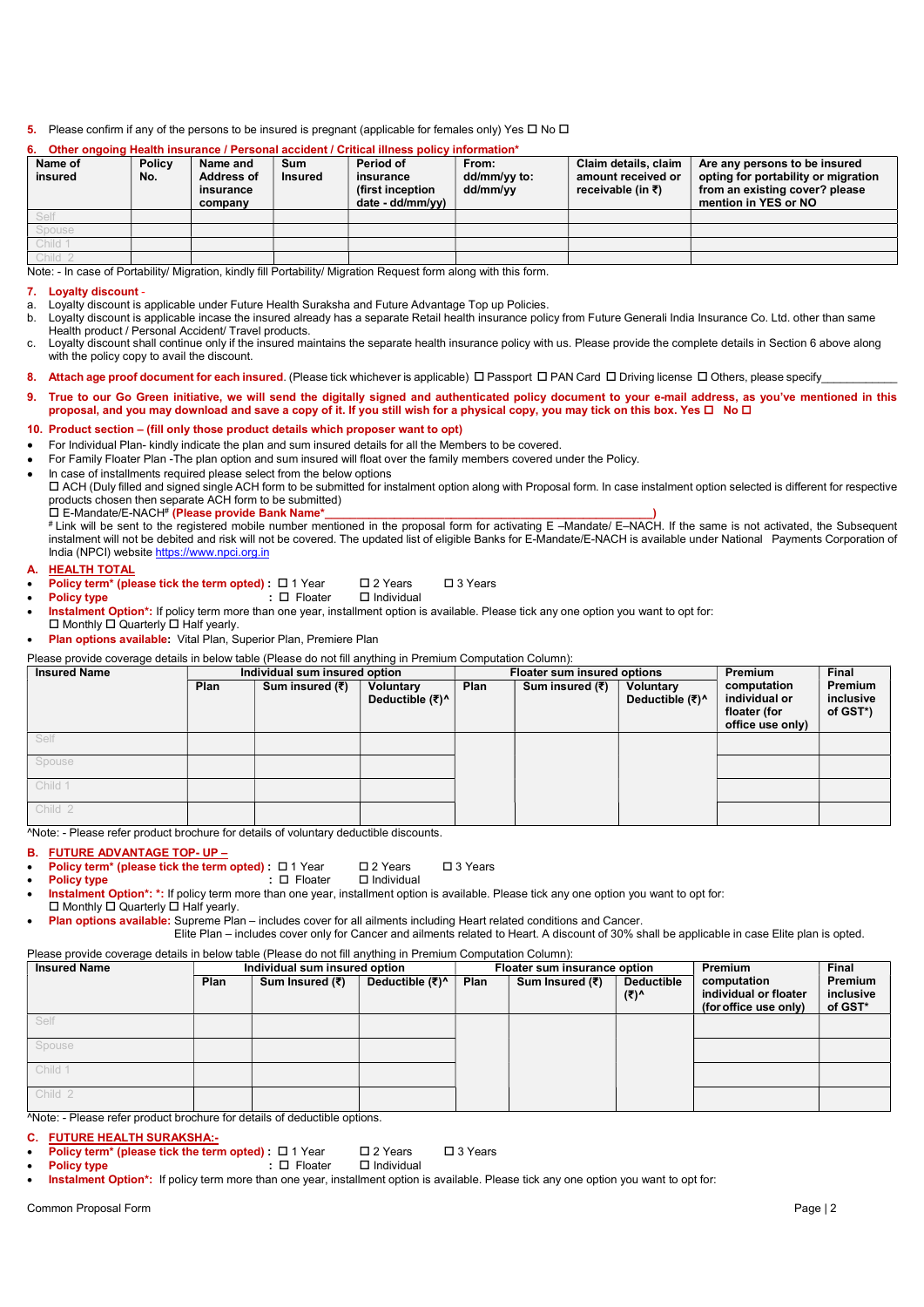### 5. Please confirm if any of the persons to be insured is pregnant (applicable for females only) Yes  $\Box$  No  $\Box$

#### Name of insured **Policy** No. Name and Address of insurance company Sum Insured Period of insurance (first inception date - dd/mm/yy) From: dd/mm/yy to: dd/mm/yy Claim details, claim amount received or receivable (in ₹) Are any persons to be insured opting for portability or migration from an existing cover? please mention in YES or NO Self Spouse Child 1 Child 2

## Other ongoing Health insurance / Personal accident / Critical illness policy information\*

Note: - In case of Portability/ Migration, kindly fill Portability/ Migration Request form along with this form.

### 7. Loyalty discount -

- a. Loyalty discount is applicable under Future Health Suraksha and Future Advantage Top up Policies.<br>b. Lovalty discount is applicable incase the insured already has a separate Retail health insurance poli Loyalty discount is applicable incase the insured already has a separate Retail health insurance policy from Future Generali India Insurance Co. Ltd. other than same Health product / Personal Accident/ Travel products.
- c. Loyalty discount shall continue only if the insured maintains the separate health insurance policy with us. Please provide the complete details in Section 6 above along with the policy copy to avail the discount.
- 8. Attach age proof document for each insured. (Please tick whichever is applicable)  $\Box$  Passport  $\Box$  PAN Card  $\Box$  Driving license  $\Box$  Others, please specify
- True to our Go Green initiative, we will send the digitally signed and authenticated policy document to your e-mail address, as you've mentioned in this proposal, and you may download and save a copy of it. If you still wish for a physical copy, you may tick on this box. Yes □ No □
- 10. Product section (fill only those product details which proposer want to opt)
- For Individual Plan- kindly indicate the plan and sum insured details for all the Members to be covered.

For Family Floater Plan -The plan option and sum insured will float over the family members covered under the Policy.

In case of installments required please select from the below options

 ACH (Duly filled and signed single ACH form to be submitted for instalment option along with Proposal form. In case instalment option selected is different for respective products chosen then separate ACH form to be submitted) E-Mandate/E-NACH# (Please provide Bank Name\*\_\_\_\_\_\_\_\_\_\_\_\_\_\_\_\_\_\_\_\_\_\_\_\_\_\_\_\_\_\_\_\_\_\_\_\_\_\_\_\_\_\_\_\_\_\_\_\_\_\_\_\_)

# Link will be sent to the registered mobile number mentioned in the proposal form for activating E –Mandate/ E–NACH. If the same is not activated, the Subsequent instalment will not be debited and risk will not be covered. The updated list of eligible Banks for E-Mandate/E-NACH is available under National Payments Corporation of India (NPCI) website https://www.npci.org.in

- **HEALTH TOTAL**
- **Policy term\* (please tick the term opted) :**  $\Box$  1 Year  $\Box$  2 Years  $\Box$  3 Years **Policy type** :  $\Box$  Floater  $\Box$  Individual
- 
- Policy type  $\qquad \qquad : \Box$  Floater
- Instalment Option\*: If policy term more than one year, installment option is available. Please tick any one option you want to opt for:
- $\square$  Monthly  $\square$  Quarterly  $\square$  Half yearly.
- Plan options available: Vital Plan, Superior Plan, Premiere Plan

## Please provide coverage details in below table (Please do not fill anything in Premium Computation Column):

| <b>Insured Name</b> |      | Individual sum insured option |                              |      | Floater sum insured options | Premium                      | <b>Final</b>                                                     |                                  |
|---------------------|------|-------------------------------|------------------------------|------|-----------------------------|------------------------------|------------------------------------------------------------------|----------------------------------|
|                     | Plan | Sum insured (₹)               | Voluntary<br>Deductible (₹)^ | Plan | Sum insured (₹)             | Voluntary<br>Deductible (₹)^ | computation<br>individual or<br>floater (for<br>office use only) | Premium<br>inclusive<br>of GST*) |
| Self                |      |                               |                              |      |                             |                              |                                                                  |                                  |
| Spouse              |      |                               |                              |      |                             |                              |                                                                  |                                  |
| Child 1             |      |                               |                              |      |                             |                              |                                                                  |                                  |
| Child 2             |      |                               |                              |      |                             |                              |                                                                  |                                  |

^Note: - Please refer product brochure for details of voluntary deductible discounts.

# B. FUTURE ADVANTAGE TOP- UP –

**Policy term\*** (please tick the term opted) :  $\Box$  1 Year  $\Box$  2 Years  $\Box$  3 Years

Policy type internal internal internal internal internal internal internal internal internal internal internal internal internal internal internal internal internal internal internal internal internal internal internal in

Instalment Option\*: \*: If policy term more than one year, installment option is available. Please tick any one option you want to opt for:

 $\square$  Monthly  $\square$  Quarterly  $\square$  Half yearly. Plan options available: Supreme Plan – includes cover for all ailments including Heart related conditions and Cancer.

Elite Plan – includes cover only for Cancer and ailments related to Heart. A discount of 30% shall be applicable in case Elite plan is opted.

## Please provide coverage details in below table (Please do not fill anything in Premium Computation Column):

| <b>Insured Name</b>                | Individual sum insured option |                 |                 |      | Floater sum insurance option |                           | <b>Premium</b>                                                | <b>Final</b>                    |
|------------------------------------|-------------------------------|-----------------|-----------------|------|------------------------------|---------------------------|---------------------------------------------------------------|---------------------------------|
|                                    | Plan                          | Sum Insured (₹) | Deductible (₹)^ | Plan | Sum Insured (₹)              | <b>Deductible</b><br>(₹)^ | computation<br>individual or floater<br>(for office use only) | Premium<br>inclusive<br>of GST* |
| Self                               |                               |                 |                 |      |                              |                           |                                                               |                                 |
| Spouse                             |                               |                 |                 |      |                              |                           |                                                               |                                 |
| Child 1                            |                               |                 |                 |      |                              |                           |                                                               |                                 |
| Child 2<br>$\cdots$<br>$\sim$<br>. |                               | .               |                 |      |                              |                           |                                                               |                                 |

^Note: - Please refer product brochure for details of deductible options.

## C. FUTURE HEALTH SURAKSHA:-

**Policy term\* (please tick the term opted) :**  $\Box$  1 Year  $\Box$  2 Years  $\Box$  3 Years

Policy type  $\Box$  Floater  $\Box$  Individual

Instalment Option\*: If policy term more than one year, installment option is available. Please tick any one option you want to opt for: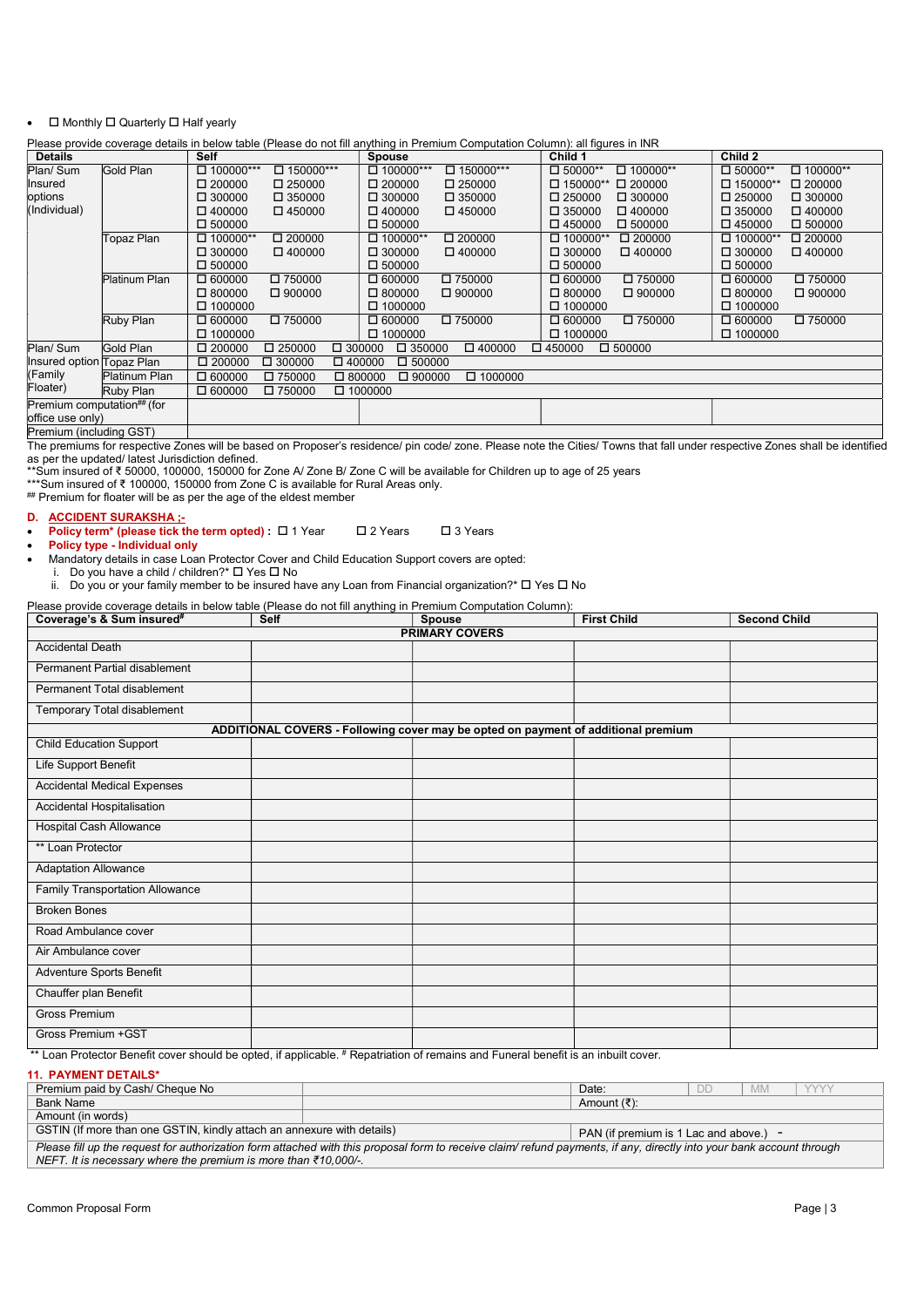## $\bullet$   $\Box$  Monthly  $\Box$  Quarterly  $\Box$  Half yearly

Please provide coverage details in below table (Please do not fill anything in Premium Computation Column): all figures in INR

| <b>Details</b>             |               | <b>Self</b>      |                  | <b>Spouse</b>                     |                  | Child 1                           | Child 2          |                 |
|----------------------------|---------------|------------------|------------------|-----------------------------------|------------------|-----------------------------------|------------------|-----------------|
| Plan/ Sum                  | Gold Plan     | $\Box$ 100000*** | $\Box$ 150000*** | $\Box$ 100000***                  | $\Box$ 150000*** | $\Box$ 50000**<br>$\Box$ 100000** | $\Box$ 50000**   | $\Box$ 100000** |
| Insured                    |               | $\square$ 200000 | $\Box$ 250000    | $\Box$ 200000                     | $\Box$ 250000    | $\Box$ 150000** $\Box$ 200000     | $\Box$ 150000**  | $\Box$ 200000   |
| options                    |               | $\Box$ 300000    | $\Box$ 350000    | $\square$ 300000                  | $\Box$ 350000    | $\Box$ 300000<br>$\square$ 250000 | $\Box$ 250000    | $\Box$ 300000   |
| (Individual)               |               | $\Box$ 400000    | $\Box$ 450000    | $\Box$ 400000                     | $\Box$ 450000    | $\square$ 350000<br>$\Box$ 400000 | $\square$ 350000 | $\Box$ 400000   |
|                            |               | $\Box$ 500000    |                  | $\Box$ 500000                     |                  | $\Box$ 450000<br>$\Box$ 500000    | $\Box$ 450000    | $\Box$ 500000   |
|                            | Topaz Plan    | $\Box$ 100000**  | $\Box$ 200000    | $\Box$ 100000**                   | $\Box$ 200000    | $\Box$ 100000**<br>$\Box$ 200000  | $\Box$ 100000**  | $\Box$ 200000   |
|                            |               | $\square$ 300000 | $\Box$ 400000    | $\square$ 300000                  | $\Box$ 400000    | $\square$ 300000<br>$\Box$ 400000 | $\square$ 300000 | $\Box$ 400000   |
|                            |               | $\Box$ 500000    |                  | $\Box$ 500000                     |                  | $\Box$ 500000                     | $\Box$ 500000    |                 |
|                            | Platinum Plan | $\Box$ 600000    | $\square$ 750000 | $\Box$ 600000                     | $\square$ 750000 | $\Box$ 600000<br>$\square$ 750000 | $\Box$ 600000    | $\Box$ 750000   |
|                            |               | $\Box$ 800000    | $\Box$ 900000    | $\Box$ 800000                     | $\Box$ 900000    | $\Box$ 900000<br>$\Box$ 800000    | $\Box$ 800000    | $\Box$ 900000   |
|                            |               | $\Box$ 1000000   |                  | $\Box$ 1000000                    |                  | $\Box$ 1000000                    | $\Box$ 1000000   |                 |
|                            | Ruby Plan     | $\Box$ 600000    | $\square$ 750000 | $\Box$ 600000                     | $\square$ 750000 | $\square$ 750000<br>$\Box$ 600000 | $\Box$ 600000    | $\Box$ 750000   |
|                            |               | $\Box$ 1000000   |                  | $\Box$ 1000000                    |                  | $\Box$ 1000000                    | $\Box$ 1000000   |                 |
| Plan/ Sum                  | Gold Plan     | $\square$ 200000 | $\Box$ 250000    | $\square$ 300000<br>$\Box$ 350000 | $\Box$ 400000    | $\Box$ 500000<br>$\Box$ 450000    |                  |                 |
| Insured option Topaz Plan  |               | $\Box$ 200000    | $\square$ 300000 | $\Box$ 500000<br>$\Box$ 400000    |                  |                                   |                  |                 |
| (Family                    | Platinum Plan | $\Box$ 600000    | $\square$ 750000 | $\Box$ 900000<br>$\Box$ 800000    | $\Box$ 1000000   |                                   |                  |                 |
| Floater)                   | Ruby Plan     | $\Box$ 600000    | $\Box$ 750000    | $\Box$ 1000000                    |                  |                                   |                  |                 |
| Premium computation## (for |               |                  |                  |                                   |                  |                                   |                  |                 |
| office use only)           |               |                  |                  |                                   |                  |                                   |                  |                 |
| $D_n$                      |               |                  |                  |                                   |                  |                                   |                  |                 |

Premium (including GST)

The premiums for respective Zones will be based on Proposer's residence/ pin code/ zone. Please note the Cities/ Towns that fall under respective Zones shall be identified as per the updated/ latest Jurisdiction defined.

\*\*Sum insured of ₹ 50000, 100000, 150000 for Zone A/ Zone B/ Zone C will be available for Children up to age of 25 years

\*\*\*Sum insured of ₹ 100000, 150000 from Zone C is available for Rural Areas only.

## Premium for floater will be as per the age of the eldest member

D. ACCIDENT SURAKSHA ;-

**Policy term\* (please tick the term opted) :**  $\Box$  1 Year  $\Box$  2 Years  $\Box$  3 Years

Policy type - Individual only

Mandatory details in case Loan Protector Cover and Child Education Support covers are opted:

i. Do you have a child / children?  $\overline{\square}$  Yes  $\overline{\square}$  No

ii. Do you or your family member to be insured have any Loan from Financial organization?\*  $\Box$  Yes  $\Box$  No

Please provide coverage details in below table (Please do not fill anything in Premium Computation Column):

| Coverage's & Sum insured <sup>#</sup>  | <b>Self</b>                                                                       | <b>Spouse</b>         | <b>First Child</b> | <b>Second Child</b> |
|----------------------------------------|-----------------------------------------------------------------------------------|-----------------------|--------------------|---------------------|
|                                        |                                                                                   | <b>PRIMARY COVERS</b> |                    |                     |
| <b>Accidental Death</b>                |                                                                                   |                       |                    |                     |
| Permanent Partial disablement          |                                                                                   |                       |                    |                     |
| Permanent Total disablement            |                                                                                   |                       |                    |                     |
| Temporary Total disablement            |                                                                                   |                       |                    |                     |
|                                        | ADDITIONAL COVERS - Following cover may be opted on payment of additional premium |                       |                    |                     |
| <b>Child Education Support</b>         |                                                                                   |                       |                    |                     |
| <b>Life Support Benefit</b>            |                                                                                   |                       |                    |                     |
| <b>Accidental Medical Expenses</b>     |                                                                                   |                       |                    |                     |
| Accidental Hospitalisation             |                                                                                   |                       |                    |                     |
| Hospital Cash Allowance                |                                                                                   |                       |                    |                     |
| ** Loan Protector                      |                                                                                   |                       |                    |                     |
| <b>Adaptation Allowance</b>            |                                                                                   |                       |                    |                     |
| <b>Family Transportation Allowance</b> |                                                                                   |                       |                    |                     |
| <b>Broken Bones</b>                    |                                                                                   |                       |                    |                     |
| Road Ambulance cover                   |                                                                                   |                       |                    |                     |
| Air Ambulance cover                    |                                                                                   |                       |                    |                     |
| Adventure Sports Benefit               |                                                                                   |                       |                    |                     |
| Chauffer plan Benefit                  |                                                                                   |                       |                    |                     |
| <b>Gross Premium</b>                   |                                                                                   |                       |                    |                     |
| Gross Premium + GST                    |                                                                                   |                       |                    |                     |

\*\* Loan Protector Benefit cover should be opted, if applicable. # Repatriation of remains and Funeral benefit is an inbuilt cover.

# 11. PAYMENT DETAILS\*

| Premium paid by Cash/ Cheque No                                                                                                                                       |  | Date:       | DE | <b>MM</b> | <b>VVVV</b> |  |
|-----------------------------------------------------------------------------------------------------------------------------------------------------------------------|--|-------------|----|-----------|-------------|--|
| Bank Name                                                                                                                                                             |  | Amount (₹): |    |           |             |  |
| Amount (in words)                                                                                                                                                     |  |             |    |           |             |  |
| GSTIN (If more than one GSTIN, kindly attach an annexure with details)<br>PAN (if premium is 1 Lac and above.)                                                        |  |             |    |           |             |  |
| Please fill up the request for authorization form attached with this proposal form to receive claim/ refund payments, if any, directly into your bank account through |  |             |    |           |             |  |
| NEFT. It is necessary where the premium is more than $\bar{\epsilon}$ 10,000/-.                                                                                       |  |             |    |           |             |  |